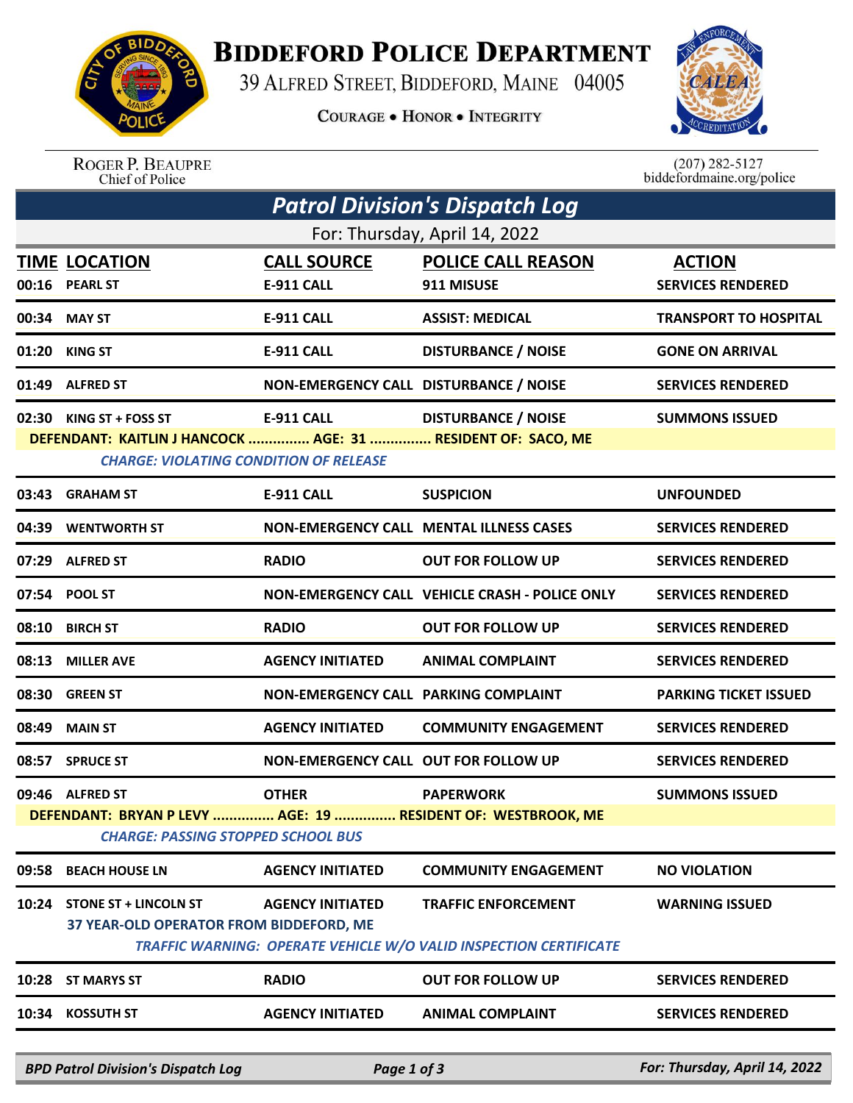## **BIDDEFORD POLICE DEPARTMENT**

39 ALFRED STREET, BIDDEFORD, MAINE 04005

**COURAGE . HONOR . INTEGRITY** 



ROGER P. BEAUPRE<br>Chief of Police

 $(207)$  282-5127<br>biddefordmaine.org/police

| Patrol Division's Dispatch Log                                                                                |                                                                         |                                        |                                                                                                        |                              |  |  |  |
|---------------------------------------------------------------------------------------------------------------|-------------------------------------------------------------------------|----------------------------------------|--------------------------------------------------------------------------------------------------------|------------------------------|--|--|--|
| For: Thursday, April 14, 2022                                                                                 |                                                                         |                                        |                                                                                                        |                              |  |  |  |
|                                                                                                               | <b>TIME LOCATION</b>                                                    | <b>CALL SOURCE</b>                     | <b>POLICE CALL REASON</b>                                                                              | <b>ACTION</b>                |  |  |  |
|                                                                                                               | 00:16 PEARL ST                                                          | <b>E-911 CALL</b>                      | 911 MISUSE                                                                                             | <b>SERVICES RENDERED</b>     |  |  |  |
| 00:34                                                                                                         | <b>MAY ST</b>                                                           | <b>E-911 CALL</b>                      | <b>ASSIST: MEDICAL</b>                                                                                 | <b>TRANSPORT TO HOSPITAL</b> |  |  |  |
| 01:20                                                                                                         | <b>KING ST</b>                                                          | <b>E-911 CALL</b>                      | <b>DISTURBANCE / NOISE</b>                                                                             | <b>GONE ON ARRIVAL</b>       |  |  |  |
|                                                                                                               | 01:49 ALFRED ST                                                         | NON-EMERGENCY CALL DISTURBANCE / NOISE |                                                                                                        | <b>SERVICES RENDERED</b>     |  |  |  |
|                                                                                                               | 02:30 KING ST + FOSS ST                                                 | <b>E-911 CALL</b>                      | <b>DISTURBANCE / NOISE</b>                                                                             | <b>SUMMONS ISSUED</b>        |  |  |  |
| DEFENDANT: KAITLIN J HANCOCK  AGE: 31  RESIDENT OF: SACO, ME<br><b>CHARGE: VIOLATING CONDITION OF RELEASE</b> |                                                                         |                                        |                                                                                                        |                              |  |  |  |
| 03:43                                                                                                         | <b>GRAHAM ST</b>                                                        | <b>E-911 CALL</b>                      | <b>SUSPICION</b>                                                                                       | <b>UNFOUNDED</b>             |  |  |  |
| 04:39                                                                                                         | <b>WENTWORTH ST</b>                                                     |                                        | NON-EMERGENCY CALL MENTAL ILLNESS CASES                                                                | <b>SERVICES RENDERED</b>     |  |  |  |
|                                                                                                               | 07:29 ALFRED ST                                                         | <b>RADIO</b>                           | <b>OUT FOR FOLLOW UP</b>                                                                               | <b>SERVICES RENDERED</b>     |  |  |  |
|                                                                                                               | 07:54 POOL ST                                                           |                                        | NON-EMERGENCY CALL VEHICLE CRASH - POLICE ONLY                                                         | <b>SERVICES RENDERED</b>     |  |  |  |
| 08:10                                                                                                         | <b>BIRCH ST</b>                                                         | <b>RADIO</b>                           | <b>OUT FOR FOLLOW UP</b>                                                                               | <b>SERVICES RENDERED</b>     |  |  |  |
| 08:13                                                                                                         | <b>MILLER AVE</b>                                                       | <b>AGENCY INITIATED</b>                | <b>ANIMAL COMPLAINT</b>                                                                                | <b>SERVICES RENDERED</b>     |  |  |  |
| 08:30                                                                                                         | <b>GREEN ST</b>                                                         | NON-EMERGENCY CALL PARKING COMPLAINT   |                                                                                                        | <b>PARKING TICKET ISSUED</b> |  |  |  |
| 08:49                                                                                                         | <b>MAIN ST</b>                                                          | <b>AGENCY INITIATED</b>                | <b>COMMUNITY ENGAGEMENT</b>                                                                            | <b>SERVICES RENDERED</b>     |  |  |  |
| 08:57                                                                                                         | <b>SPRUCE ST</b>                                                        | NON-EMERGENCY CALL OUT FOR FOLLOW UP   |                                                                                                        | <b>SERVICES RENDERED</b>     |  |  |  |
|                                                                                                               | 09:46 ALFRED ST                                                         | <b>OTHER</b>                           | <b>PAPERWORK</b>                                                                                       | <b>SUMMONS ISSUED</b>        |  |  |  |
| DEFENDANT: BRYAN P LEVY  AGE: 19  RESIDENT OF: WESTBROOK, ME<br><b>CHARGE: PASSING STOPPED SCHOOL BUS</b>     |                                                                         |                                        |                                                                                                        |                              |  |  |  |
| 09:58                                                                                                         | <b>BEACH HOUSE LN</b>                                                   | <b>AGENCY INITIATED</b>                | <b>COMMUNITY ENGAGEMENT</b>                                                                            | <b>NO VIOLATION</b>          |  |  |  |
| 10:24                                                                                                         | <b>STONE ST + LINCOLN ST</b><br>37 YEAR-OLD OPERATOR FROM BIDDEFORD, ME | <b>AGENCY INITIATED</b>                | <b>TRAFFIC ENFORCEMENT</b><br><b>TRAFFIC WARNING: OPERATE VEHICLE W/O VALID INSPECTION CERTIFICATE</b> | <b>WARNING ISSUED</b>        |  |  |  |
| 10:28                                                                                                         | <b>ST MARYS ST</b>                                                      | <b>RADIO</b>                           | <b>OUT FOR FOLLOW UP</b>                                                                               | <b>SERVICES RENDERED</b>     |  |  |  |
| 10:34                                                                                                         | <b>KOSSUTH ST</b>                                                       | <b>AGENCY INITIATED</b>                | <b>ANIMAL COMPLAINT</b>                                                                                | <b>SERVICES RENDERED</b>     |  |  |  |
|                                                                                                               |                                                                         |                                        |                                                                                                        |                              |  |  |  |

*BPD Patrol Division's Dispatch Log Page 1 of 3 For: Thursday, April 14, 2022*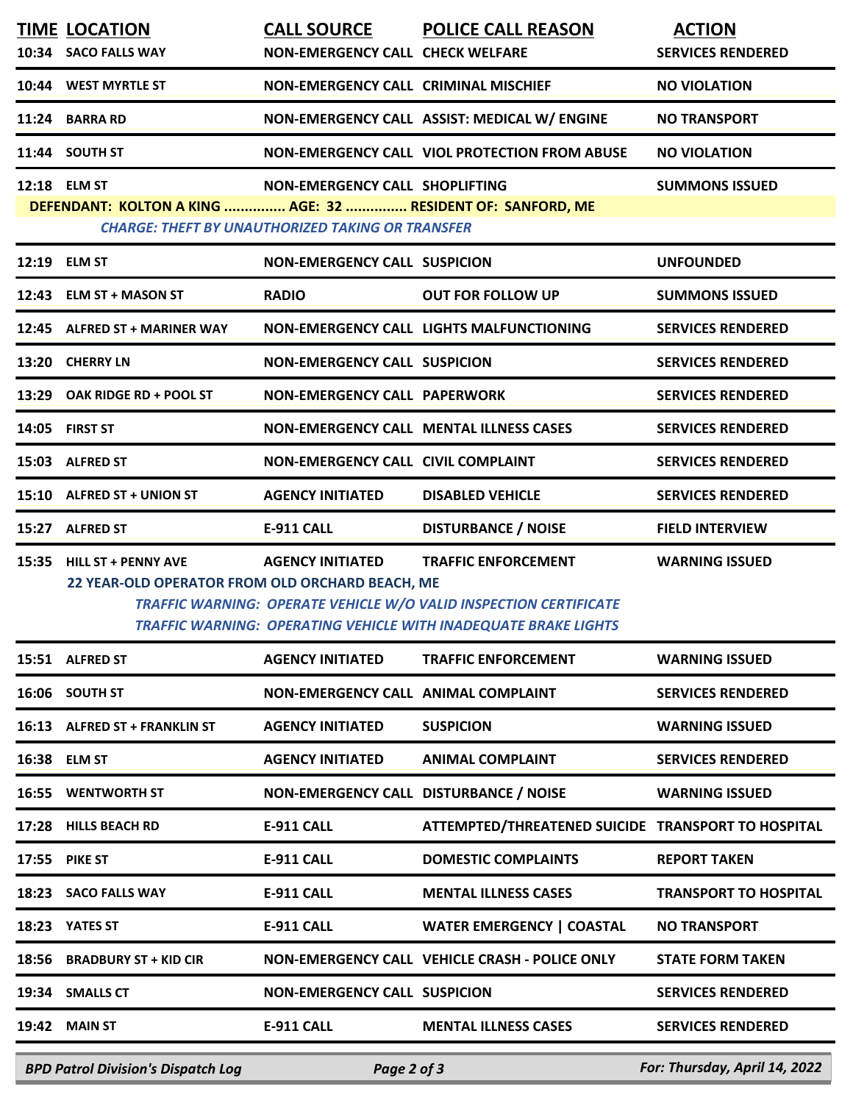| <b>TIME LOCATION</b><br>10:34 SACO FALLS WAY                                 | <b>CALL SOURCE</b><br><b>NON-EMERGENCY CALL CHECK WELFARE</b>                             | <b>POLICE CALL REASON</b>                                                                                                                                                 | <b>ACTION</b><br><b>SERVICES RENDERED</b> |
|------------------------------------------------------------------------------|-------------------------------------------------------------------------------------------|---------------------------------------------------------------------------------------------------------------------------------------------------------------------------|-------------------------------------------|
| 10:44 WEST MYRTLE ST                                                         | <b>NON-EMERGENCY CALL CRIMINAL MISCHIEF</b>                                               |                                                                                                                                                                           | <b>NO VIOLATION</b>                       |
| 11:24 BARRA RD                                                               |                                                                                           | NON-EMERGENCY CALL ASSIST: MEDICAL W/ ENGINE                                                                                                                              | <b>NO TRANSPORT</b>                       |
| 11:44 SOUTH ST                                                               |                                                                                           | NON-EMERGENCY CALL VIOL PROTECTION FROM ABUSE                                                                                                                             | <b>NO VIOLATION</b>                       |
| 12:18 ELM ST<br>DEFENDANT: KOLTON A KING  AGE: 32  RESIDENT OF: SANFORD, ME  | NON-EMERGENCY CALL SHOPLIFTING<br><b>CHARGE: THEFT BY UNAUTHORIZED TAKING OR TRANSFER</b> |                                                                                                                                                                           | <b>SUMMONS ISSUED</b>                     |
| 12:19 ELM ST                                                                 | <b>NON-EMERGENCY CALL SUSPICION</b>                                                       |                                                                                                                                                                           | <b>UNFOUNDED</b>                          |
| 12:43 ELM ST + MASON ST                                                      | <b>RADIO</b>                                                                              | <b>OUT FOR FOLLOW UP</b>                                                                                                                                                  | <b>SUMMONS ISSUED</b>                     |
| 12:45 ALFRED ST + MARINER WAY                                                |                                                                                           | <b>NON-EMERGENCY CALL LIGHTS MALFUNCTIONING</b>                                                                                                                           | <b>SERVICES RENDERED</b>                  |
| 13:20 CHERRY LN                                                              | <b>NON-EMERGENCY CALL SUSPICION</b>                                                       |                                                                                                                                                                           | <b>SERVICES RENDERED</b>                  |
| 13:29 OAK RIDGE RD + POOL ST                                                 | <b>NON-EMERGENCY CALL PAPERWORK</b>                                                       |                                                                                                                                                                           | <b>SERVICES RENDERED</b>                  |
| 14:05 FIRST ST                                                               |                                                                                           | NON-EMERGENCY CALL MENTAL ILLNESS CASES                                                                                                                                   | <b>SERVICES RENDERED</b>                  |
| 15:03 ALFRED ST                                                              | <b>NON-EMERGENCY CALL CIVIL COMPLAINT</b>                                                 |                                                                                                                                                                           | <b>SERVICES RENDERED</b>                  |
| 15:10 ALFRED ST + UNION ST                                                   | <b>AGENCY INITIATED</b>                                                                   | <b>DISABLED VEHICLE</b>                                                                                                                                                   | <b>SERVICES RENDERED</b>                  |
| 15:27 ALFRED ST                                                              | E-911 CALL                                                                                | <b>DISTURBANCE / NOISE</b>                                                                                                                                                | <b>FIELD INTERVIEW</b>                    |
| 15:35 HILL ST + PENNY AVE<br>22 YEAR-OLD OPERATOR FROM OLD ORCHARD BEACH, ME | <b>AGENCY INITIATED</b>                                                                   | <b>TRAFFIC ENFORCEMENT</b><br>TRAFFIC WARNING: OPERATE VEHICLE W/O VALID INSPECTION CERTIFICATE<br><b>TRAFFIC WARNING: OPERATING VEHICLE WITH INADEQUATE BRAKE LIGHTS</b> | <b>WARNING ISSUED</b>                     |
| 15:51 ALFRED ST                                                              | <b>AGENCY INITIATED</b>                                                                   | <b>TRAFFIC ENFORCEMENT</b>                                                                                                                                                | <b>WARNING ISSUED</b>                     |
| 16:06 SOUTH ST                                                               | <b>NON-EMERGENCY CALL ANIMAL COMPLAINT</b>                                                |                                                                                                                                                                           | <b>SERVICES RENDERED</b>                  |
| 16:13 ALFRED ST + FRANKLIN ST                                                | <b>AGENCY INITIATED</b>                                                                   | <b>SUSPICION</b>                                                                                                                                                          | <b>WARNING ISSUED</b>                     |
| 16:38 ELM ST                                                                 | <b>AGENCY INITIATED</b>                                                                   | <b>ANIMAL COMPLAINT</b>                                                                                                                                                   | <b>SERVICES RENDERED</b>                  |
| <b>16:55 WENTWORTH ST</b>                                                    | NON-EMERGENCY CALL DISTURBANCE / NOISE                                                    |                                                                                                                                                                           | <b>WARNING ISSUED</b>                     |
| 17:28 HILLS BEACH RD                                                         | <b>E-911 CALL</b>                                                                         | ATTEMPTED/THREATENED SUICIDE TRANSPORT TO HOSPITAL                                                                                                                        |                                           |
| <b>17:55 PIKE ST</b>                                                         | <b>E-911 CALL</b>                                                                         | <b>DOMESTIC COMPLAINTS</b>                                                                                                                                                | <b>REPORT TAKEN</b>                       |
| 18:23 SACO FALLS WAY                                                         | <b>E-911 CALL</b>                                                                         | <b>MENTAL ILLNESS CASES</b>                                                                                                                                               | <b>TRANSPORT TO HOSPITAL</b>              |
| 18:23 YATES ST                                                               | <b>E-911 CALL</b>                                                                         | <b>WATER EMERGENCY   COASTAL</b>                                                                                                                                          | <b>NO TRANSPORT</b>                       |
| 18:56 BRADBURY ST + KID CIR                                                  |                                                                                           | NON-EMERGENCY CALL VEHICLE CRASH - POLICE ONLY                                                                                                                            | <b>STATE FORM TAKEN</b>                   |
| 19:34 SMALLS CT                                                              | <b>NON-EMERGENCY CALL SUSPICION</b>                                                       |                                                                                                                                                                           | <b>SERVICES RENDERED</b>                  |
| <b>19:42 MAIN ST</b>                                                         | <b>E-911 CALL</b>                                                                         | <b>MENTAL ILLNESS CASES</b>                                                                                                                                               | <b>SERVICES RENDERED</b>                  |
| <b>BPD Patrol Division's Dispatch Log</b>                                    | Page 2 of 3                                                                               |                                                                                                                                                                           | For: Thursday, April 14, 2022             |